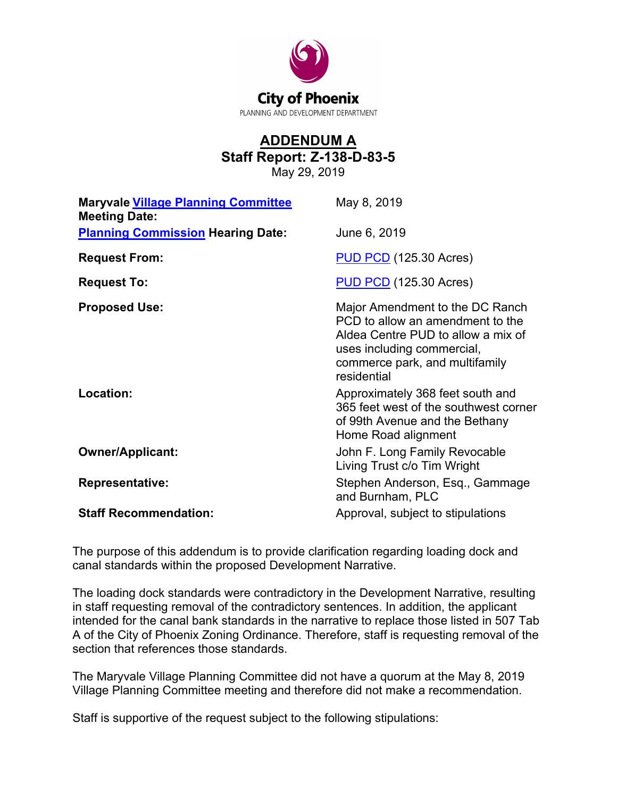

## **ADDENDUM A Staff Report: Z-138-D-83-5**

May 29, 2019

| <b>Maryvale Village Planning Committee</b><br><b>Meeting Date:</b> | May 8, 2019                                                                                                                                                                              |
|--------------------------------------------------------------------|------------------------------------------------------------------------------------------------------------------------------------------------------------------------------------------|
| <b>Planning Commission Hearing Date:</b>                           | June 6, 2019                                                                                                                                                                             |
| <b>Request From:</b>                                               | <b>PUD PCD</b> (125.30 Acres)                                                                                                                                                            |
| <b>Request To:</b>                                                 | <b>PUD PCD</b> (125.30 Acres)                                                                                                                                                            |
| <b>Proposed Use:</b>                                               | Major Amendment to the DC Ranch<br>PCD to allow an amendment to the<br>Aldea Centre PUD to allow a mix of<br>uses including commercial,<br>commerce park, and multifamily<br>residential |
| Location:                                                          | Approximately 368 feet south and<br>365 feet west of the southwest corner<br>of 99th Avenue and the Bethany<br>Home Road alignment                                                       |
| <b>Owner/Applicant:</b>                                            | John F. Long Family Revocable<br>Living Trust c/o Tim Wright                                                                                                                             |
| <b>Representative:</b>                                             | Stephen Anderson, Esq., Gammage<br>and Burnham, PLC                                                                                                                                      |
| <b>Staff Recommendation:</b>                                       | Approval, subject to stipulations                                                                                                                                                        |

The purpose of this addendum is to provide clarification regarding loading dock and canal standards within the proposed Development Narrative.

The loading dock standards were contradictory in the Development Narrative, resulting in staff requesting removal of the contradictory sentences. In addition, the applicant intended for the canal bank standards in the narrative to replace those listed in 507 Tab A of the City of Phoenix Zoning Ordinance. Therefore, staff is requesting removal of the section that references those standards.

The Maryvale Village Planning Committee did not have a quorum at the May 8, 2019 Village Planning Committee meeting and therefore did not make a recommendation.

Staff is supportive of the request subject to the following stipulations: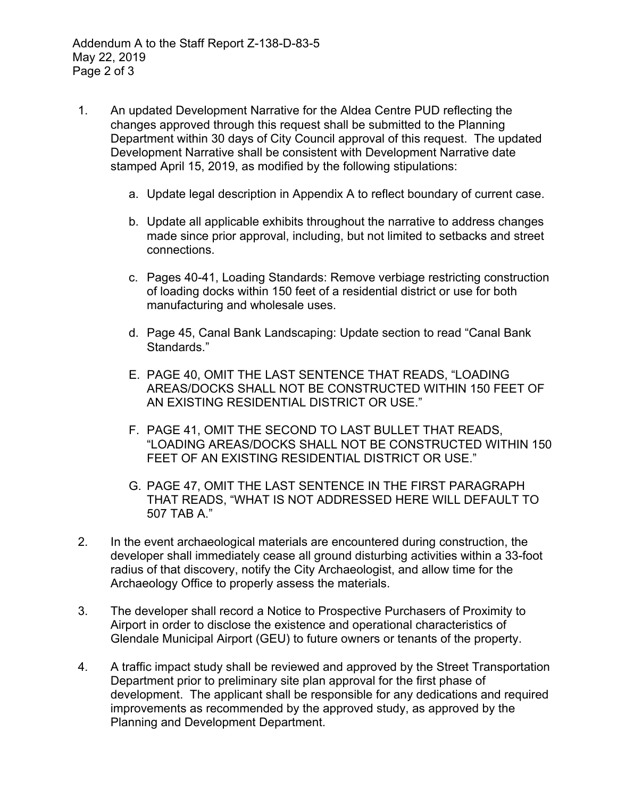- 1. An updated Development Narrative for the Aldea Centre PUD reflecting the changes approved through this request shall be submitted to the Planning Department within 30 days of City Council approval of this request. The updated Development Narrative shall be consistent with Development Narrative date stamped April 15, 2019, as modified by the following stipulations:
	- a. Update legal description in Appendix A to reflect boundary of current case.
	- b. Update all applicable exhibits throughout the narrative to address changes made since prior approval, including, but not limited to setbacks and street connections.
	- c. Pages 40-41, Loading Standards: Remove verbiage restricting construction of loading docks within 150 feet of a residential district or use for both manufacturing and wholesale uses.
	- d. Page 45, Canal Bank Landscaping: Update section to read "Canal Bank Standards."
	- E. PAGE 40, OMIT THE LAST SENTENCE THAT READS, "LOADING AREAS/DOCKS SHALL NOT BE CONSTRUCTED WITHIN 150 FEET OF AN EXISTING RESIDENTIAL DISTRICT OR USE."
	- F. PAGE 41, OMIT THE SECOND TO LAST BULLET THAT READS, "LOADING AREAS/DOCKS SHALL NOT BE CONSTRUCTED WITHIN 150 FEET OF AN EXISTING RESIDENTIAL DISTRICT OR USE."
	- G. PAGE 47, OMIT THE LAST SENTENCE IN THE FIRST PARAGRAPH THAT READS, "WHAT IS NOT ADDRESSED HERE WILL DEFAULT TO 507 TAB A."
- 2. In the event archaeological materials are encountered during construction, the developer shall immediately cease all ground disturbing activities within a 33-foot radius of that discovery, notify the City Archaeologist, and allow time for the Archaeology Office to properly assess the materials.
- 3. The developer shall record a Notice to Prospective Purchasers of Proximity to Airport in order to disclose the existence and operational characteristics of Glendale Municipal Airport (GEU) to future owners or tenants of the property.
- 4. A traffic impact study shall be reviewed and approved by the Street Transportation Department prior to preliminary site plan approval for the first phase of development. The applicant shall be responsible for any dedications and required improvements as recommended by the approved study, as approved by the Planning and Development Department.